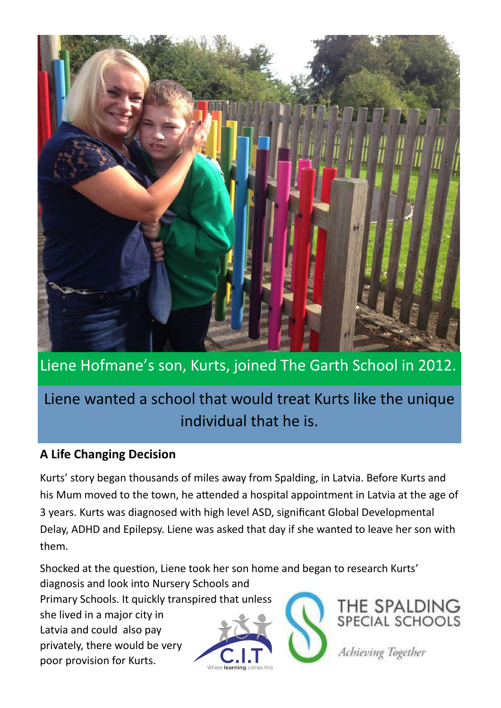

## Liene Hofmane's son, Kurts, joined The Garth School in 2012.

# Liene wanted a school that would treat Kurts like the unique individual that he is.

### **A Life Changing Decision**

Kurts' story began thousands of miles away from Spalding, in Latvia. Before Kurts and his Mum moved to the town, he attended a hospital appointment in Latvia at the age of 3 years. Kurts was diagnosed with high level ASD, significant Global Developmental Delay, ADHD and Epilepsy. Liene was asked that day if she wanted to leave her son with them.

Shocked at the question, Liene took her son home and began to research Kurts' diagnosis and look into Nursery Schools and

Primary Schools. It quickly transpired that unless she lived in a major city in Latvia and could also pay privately, there would be very poor provision for Kurts.

THE SPALDING<br>SPECIAL SCHOOLS

Achieving Together